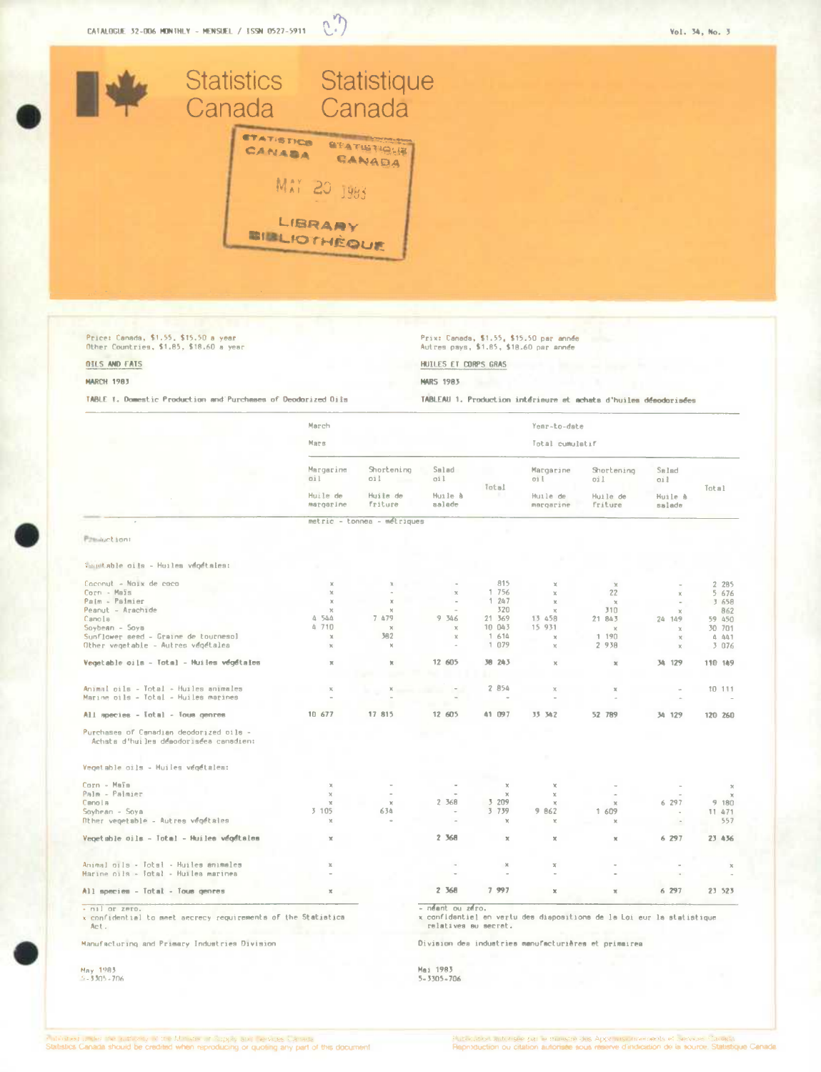

Price: Canada, \$1.55, \$15.50 a year<br>Other Countries, \$1.85, \$18.60 a year

Prix: Canada, \$1.55, \$15.50 par année<br>Autres pays, \$1.85, \$18.60 par année

TABLEAU 1. Production intérieure et achats d'huiles désodorisées

HUILES ET CORPS GRAS

**NARS 1983** 

**OILS AND FATS** 

## **MARCH 1983**

TABLE 1. Domestic Production and Purchases of Deodorized Oils

March Year-to-date Mars Total cumulatif Margarine Shortening Salad Margarine Shortening Salad  $0i$ oil oi l  $011$  $011$ oi ł Total Total Huile de Huile de Huile A Huile de<br>margarine Huile de<br>friture Huile A margarine friture salade metric - tonnes - métriques **Parauction:** Whetable cits - Huiles vegétales: Coconut - Noix de coco 815 2 285 Corn - Maïs<br>Palm - Paimier  $756$ <br>247  $22$  $5 676$ <br> $3 658$  $\frac{1}{1}$ Peanut - Arachide  $320$  $310$  $R62$ Canola  $\begin{array}{cc} 4 & 544 \\ 4 & 710 \end{array}$ 7 479 9 346 21 369<br>10 043 13 458  $21.843$ 59 450 24 149 15 931 30 701 Soybean - Soys Sunflower seed - Graine de tournesol<br>Other vegetable - Autres végétalea  $\frac{1}{1}$  614  $\frac{1}{2}$   $\frac{190}{938}$ 382  $4441$ <br> $3076$  $\lambda$  $\mathbf{y}$  $\overline{u}$ Vegetable oils - Total - Huiles végétales  $\overline{y}$ 12 605 38 243 34 129 110 149  $\mathbf{x}$  $\sim$ Animal oils - Total - Huiles animales<br>Marine oils - Total - Huiles marines 2 854  $\bar{x}$ 10 111  $\mathbf{x}$  $\mathbf{x}$  $\overline{\phantom{a}}$  $\mathbf{x}$  $\bar{a}$ 17 815 All species - Iotal - Tous genres 10.677 12 605 41 097 33 342 52 789 36 129 120 260 Purchases of Canadian deodorized bils -<br>Achata d'huiles déaodorisées canadien: Vegetable oils - Huiles végétales: Corn - Maïs  $\overline{\mathbf{x}}$ Palm - Palmier<br>Canola  $6.297$ 2 368 3 209<br>3 739  $9,180$ Soybean - Soya  $11471$ 3 105 634  $9.062$ 1 609 Diher venetable - Autres vénétales i,  $\sim$  $\mathbf{x}$ x y Vegetable oils - Iotal - Huiles végétales 2 368 6 297  $\overline{\mathbf{x}}$ 23 436  $\bar{x}$  $\overline{\mathbf{x}}$ Animal oils - Total - Huiles animales<br>Harine oils - Total - Huiles marines All species - Total - Tous genres 2 368 7 997  $6297$ 23 523  $\overline{\mathbf{x}}$ × - nil or zero. neant ou zero. x confidential to meet aecrecy requirements of the Statistics<br>Act. x confidentiel en vertu des diapositions de la Loi eur la statistique relatives au secrat.

Manufacturing and Primary Industries Division

May 1983<br>5-3305-706

Division des industries manufacturières et primairea

Mai 1983  $5 - 3305 - 706$